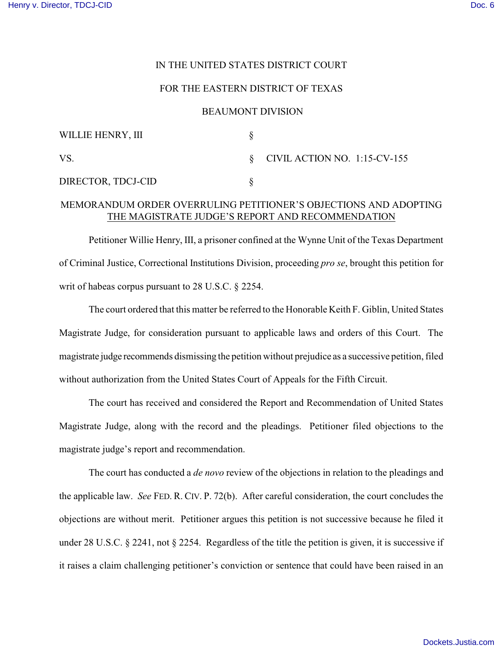## IN THE UNITED STATES DISTRICT COURT

## FOR THE EASTERN DISTRICT OF TEXAS

### BEAUMONT DIVISION

| WILLIE HENRY, III  |                                   |
|--------------------|-----------------------------------|
| VS.                | $\S$ CIVIL ACTION NO. 1:15-CV-155 |
| DIRECTOR, TDCJ-CID |                                   |

# MEMORANDUM ORDER OVERRULING PETITIONER'S OBJECTIONS AND ADOPTING THE MAGISTRATE JUDGE'S REPORT AND RECOMMENDATION

Petitioner Willie Henry, III, a prisoner confined at the Wynne Unit of the Texas Department of Criminal Justice, Correctional Institutions Division, proceeding *pro se*, brought this petition for writ of habeas corpus pursuant to 28 U.S.C. § 2254.

The court ordered that this matter be referred to the Honorable Keith F. Giblin, United States Magistrate Judge, for consideration pursuant to applicable laws and orders of this Court. The magistrate judge recommends dismissing the petition without prejudice as a successive petition, filed without authorization from the United States Court of Appeals for the Fifth Circuit.

The court has received and considered the Report and Recommendation of United States Magistrate Judge, along with the record and the pleadings. Petitioner filed objections to the magistrate judge's report and recommendation.

The court has conducted a *de novo* review of the objections in relation to the pleadings and the applicable law. *See* FED. R. CIV. P. 72(b). After careful consideration, the court concludes the objections are without merit. Petitioner argues this petition is not successive because he filed it under 28 U.S.C. § 2241, not § 2254. Regardless of the title the petition is given, it is successive if it raises a claim challenging petitioner's conviction or sentence that could have been raised in an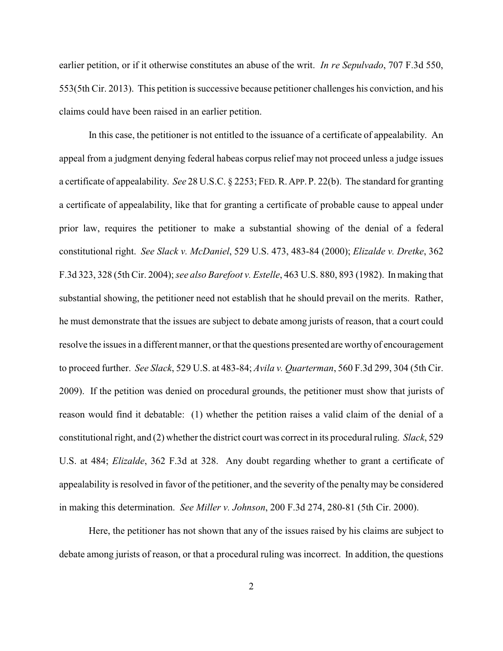earlier petition, or if it otherwise constitutes an abuse of the writ. *In re Sepulvado*, 707 F.3d 550, 553(5th Cir. 2013). This petition is successive because petitioner challenges his conviction, and his claims could have been raised in an earlier petition.

In this case, the petitioner is not entitled to the issuance of a certificate of appealability. An appeal from a judgment denying federal habeas corpus relief may not proceed unless a judge issues a certificate of appealability. *See* 28 U.S.C. § 2253; FED.R.APP.P. 22(b). The standard for granting a certificate of appealability, like that for granting a certificate of probable cause to appeal under prior law, requires the petitioner to make a substantial showing of the denial of a federal constitutional right. *See Slack v. McDaniel*, 529 U.S. 473, 483-84 (2000); *Elizalde v. Dretke*, 362 F.3d 323, 328 (5th Cir. 2004); *see also Barefoot v. Estelle*, 463 U.S. 880, 893 (1982). In making that substantial showing, the petitioner need not establish that he should prevail on the merits. Rather, he must demonstrate that the issues are subject to debate among jurists of reason, that a court could resolve the issues in a different manner, or that the questions presented are worthy of encouragement to proceed further. *See Slack*, 529 U.S. at 483-84; *Avila v. Quarterman*, 560 F.3d 299, 304 (5th Cir. 2009). If the petition was denied on procedural grounds, the petitioner must show that jurists of reason would find it debatable: (1) whether the petition raises a valid claim of the denial of a constitutional right, and (2) whether the district court was correct in its procedural ruling. *Slack*, 529 U.S. at 484; *Elizalde*, 362 F.3d at 328. Any doubt regarding whether to grant a certificate of appealability is resolved in favor of the petitioner, and the severity of the penalty may be considered in making this determination. *See Miller v. Johnson*, 200 F.3d 274, 280-81 (5th Cir. 2000).

Here, the petitioner has not shown that any of the issues raised by his claims are subject to debate among jurists of reason, or that a procedural ruling was incorrect. In addition, the questions